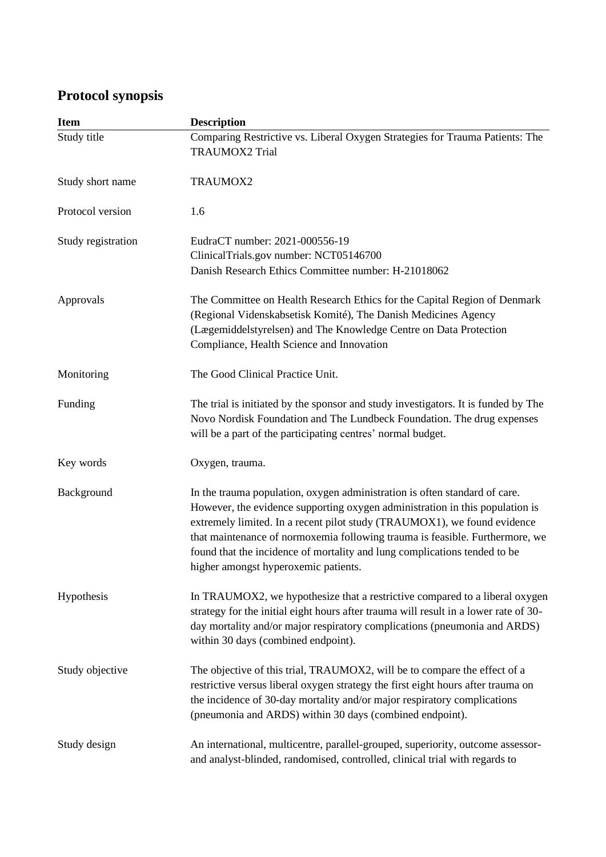## **Protocol synopsis**

| <b>Item</b>        | <b>Description</b>                                                                                                                                                                                                                                                                                                                                                                                                                          |
|--------------------|---------------------------------------------------------------------------------------------------------------------------------------------------------------------------------------------------------------------------------------------------------------------------------------------------------------------------------------------------------------------------------------------------------------------------------------------|
| Study title        | Comparing Restrictive vs. Liberal Oxygen Strategies for Trauma Patients: The<br><b>TRAUMOX2 Trial</b>                                                                                                                                                                                                                                                                                                                                       |
| Study short name   | TRAUMOX2                                                                                                                                                                                                                                                                                                                                                                                                                                    |
| Protocol version   | 1.6                                                                                                                                                                                                                                                                                                                                                                                                                                         |
| Study registration | EudraCT number: 2021-000556-19<br>ClinicalTrials.gov number: NCT05146700<br>Danish Research Ethics Committee number: H-21018062                                                                                                                                                                                                                                                                                                             |
| Approvals          | The Committee on Health Research Ethics for the Capital Region of Denmark<br>(Regional Videnskabsetisk Komité), The Danish Medicines Agency<br>(Lægemiddelstyrelsen) and The Knowledge Centre on Data Protection<br>Compliance, Health Science and Innovation                                                                                                                                                                               |
| Monitoring         | The Good Clinical Practice Unit.                                                                                                                                                                                                                                                                                                                                                                                                            |
| Funding            | The trial is initiated by the sponsor and study investigators. It is funded by The<br>Novo Nordisk Foundation and The Lundbeck Foundation. The drug expenses<br>will be a part of the participating centres' normal budget.                                                                                                                                                                                                                 |
| Key words          | Oxygen, trauma.                                                                                                                                                                                                                                                                                                                                                                                                                             |
| Background         | In the trauma population, oxygen administration is often standard of care.<br>However, the evidence supporting oxygen administration in this population is<br>extremely limited. In a recent pilot study (TRAUMOX1), we found evidence<br>that maintenance of normoxemia following trauma is feasible. Furthermore, we<br>found that the incidence of mortality and lung complications tended to be<br>higher amongst hyperoxemic patients. |
| Hypothesis         | In TRAUMOX2, we hypothesize that a restrictive compared to a liberal oxygen<br>strategy for the initial eight hours after trauma will result in a lower rate of 30-<br>day mortality and/or major respiratory complications (pneumonia and ARDS)<br>within 30 days (combined endpoint).                                                                                                                                                     |
| Study objective    | The objective of this trial, TRAUMOX2, will be to compare the effect of a<br>restrictive versus liberal oxygen strategy the first eight hours after trauma on<br>the incidence of 30-day mortality and/or major respiratory complications<br>(pneumonia and ARDS) within 30 days (combined endpoint).                                                                                                                                       |
| Study design       | An international, multicentre, parallel-grouped, superiority, outcome assessor-<br>and analyst-blinded, randomised, controlled, clinical trial with regards to                                                                                                                                                                                                                                                                              |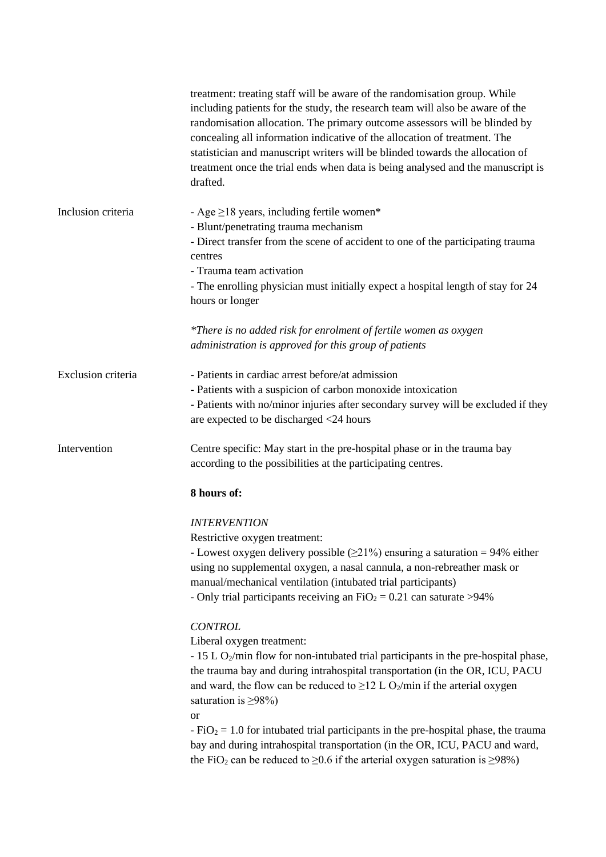|                    | treatment: treating staff will be aware of the randomisation group. While<br>including patients for the study, the research team will also be aware of the<br>randomisation allocation. The primary outcome assessors will be blinded by<br>concealing all information indicative of the allocation of treatment. The<br>statistician and manuscript writers will be blinded towards the allocation of<br>treatment once the trial ends when data is being analysed and the manuscript is<br>drafted. |
|--------------------|-------------------------------------------------------------------------------------------------------------------------------------------------------------------------------------------------------------------------------------------------------------------------------------------------------------------------------------------------------------------------------------------------------------------------------------------------------------------------------------------------------|
| Inclusion criteria | - Age $\geq$ 18 years, including fertile women*<br>- Blunt/penetrating trauma mechanism<br>- Direct transfer from the scene of accident to one of the participating trauma<br>centres<br>- Trauma team activation<br>- The enrolling physician must initially expect a hospital length of stay for 24<br>hours or longer                                                                                                                                                                              |
|                    | *There is no added risk for enrolment of fertile women as oxygen<br>administration is approved for this group of patients                                                                                                                                                                                                                                                                                                                                                                             |
| Exclusion criteria | - Patients in cardiac arrest before/at admission<br>- Patients with a suspicion of carbon monoxide intoxication<br>- Patients with no/minor injuries after secondary survey will be excluded if they<br>are expected to be discharged <24 hours                                                                                                                                                                                                                                                       |
| Intervention       | Centre specific: May start in the pre-hospital phase or in the trauma bay<br>according to the possibilities at the participating centres.                                                                                                                                                                                                                                                                                                                                                             |
|                    | 8 hours of:                                                                                                                                                                                                                                                                                                                                                                                                                                                                                           |
|                    | <b>INTERVENTION</b>                                                                                                                                                                                                                                                                                                                                                                                                                                                                                   |
|                    | Restrictive oxygen treatment:                                                                                                                                                                                                                                                                                                                                                                                                                                                                         |
|                    | - Lowest oxygen delivery possible $(\geq 21\%)$ ensuring a saturation = 94% either<br>using no supplemental oxygen, a nasal cannula, a non-rebreather mask or<br>manual/mechanical ventilation (intubated trial participants)<br>- Only trial participants receiving an $FiO_2 = 0.21$ can saturate >94%                                                                                                                                                                                              |
|                    | <b>CONTROL</b><br>Liberal oxygen treatment:                                                                                                                                                                                                                                                                                                                                                                                                                                                           |
|                    | - 15 L O <sub>2</sub> /min flow for non-intubated trial participants in the pre-hospital phase,<br>the trauma bay and during intrahospital transportation (in the OR, ICU, PACU<br>and ward, the flow can be reduced to $\geq$ 12 L O <sub>2</sub> /min if the arterial oxygen<br>saturation is $\geq$ 98%)                                                                                                                                                                                           |
|                    | <sub>or</sub><br>$-FiO2 = 1.0$ for intubated trial participants in the pre-hospital phase, the trauma<br>bay and during intrahospital transportation (in the OR, ICU, PACU and ward,<br>the FiO <sub>2</sub> can be reduced to $\geq$ 0.6 if the arterial oxygen saturation is $\geq$ 98%)                                                                                                                                                                                                            |
|                    |                                                                                                                                                                                                                                                                                                                                                                                                                                                                                                       |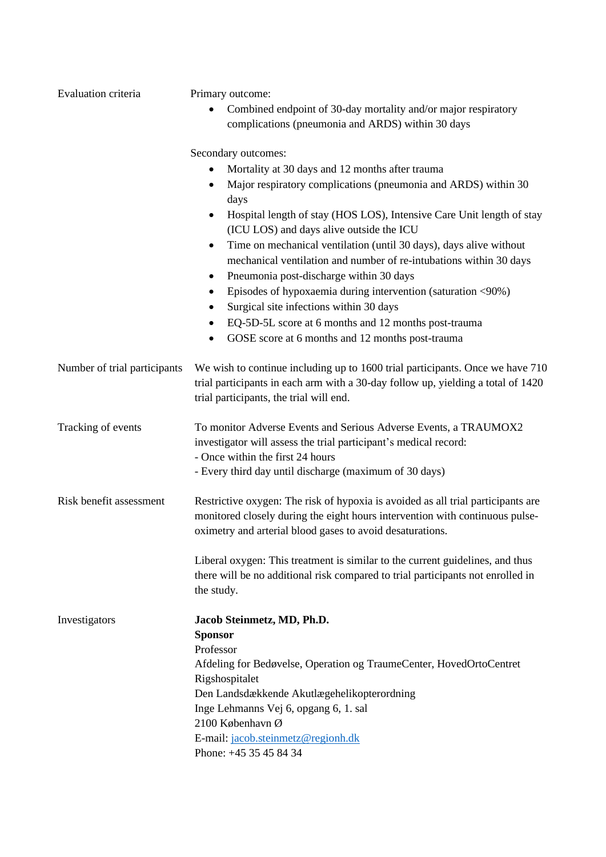| Evaluation criteria          | Primary outcome:                                                                                                                                                                                             |  |
|------------------------------|--------------------------------------------------------------------------------------------------------------------------------------------------------------------------------------------------------------|--|
|                              | Combined endpoint of 30-day mortality and/or major respiratory                                                                                                                                               |  |
|                              | complications (pneumonia and ARDS) within 30 days                                                                                                                                                            |  |
|                              |                                                                                                                                                                                                              |  |
|                              | Secondary outcomes:                                                                                                                                                                                          |  |
|                              | Mortality at 30 days and 12 months after trauma                                                                                                                                                              |  |
|                              | Major respiratory complications (pneumonia and ARDS) within 30<br>٠<br>days                                                                                                                                  |  |
|                              | Hospital length of stay (HOS LOS), Intensive Care Unit length of stay<br>$\bullet$                                                                                                                           |  |
|                              | (ICU LOS) and days alive outside the ICU                                                                                                                                                                     |  |
|                              | Time on mechanical ventilation (until 30 days), days alive without<br>$\bullet$                                                                                                                              |  |
|                              | mechanical ventilation and number of re-intubations within 30 days                                                                                                                                           |  |
|                              | Pneumonia post-discharge within 30 days<br>٠                                                                                                                                                                 |  |
|                              | Episodes of hypoxaemia during intervention (saturation <90%)<br>$\bullet$                                                                                                                                    |  |
|                              | Surgical site infections within 30 days<br>$\bullet$                                                                                                                                                         |  |
|                              | EQ-5D-5L score at 6 months and 12 months post-trauma<br>٠                                                                                                                                                    |  |
|                              | GOSE score at 6 months and 12 months post-trauma                                                                                                                                                             |  |
|                              |                                                                                                                                                                                                              |  |
| Number of trial participants | We wish to continue including up to 1600 trial participants. Once we have 710<br>trial participants in each arm with a 30-day follow up, yielding a total of 1420<br>trial participants, the trial will end. |  |
| Tracking of events           | To monitor Adverse Events and Serious Adverse Events, a TRAUMOX2<br>investigator will assess the trial participant's medical record:                                                                         |  |
|                              | - Once within the first 24 hours                                                                                                                                                                             |  |
|                              | - Every third day until discharge (maximum of 30 days)                                                                                                                                                       |  |
|                              |                                                                                                                                                                                                              |  |
| Risk benefit assessment      | Restrictive oxygen: The risk of hypoxia is avoided as all trial participants are                                                                                                                             |  |
|                              | monitored closely during the eight hours intervention with continuous pulse-                                                                                                                                 |  |
|                              | oximetry and arterial blood gases to avoid desaturations.                                                                                                                                                    |  |
|                              | Liberal oxygen: This treatment is similar to the current guidelines, and thus                                                                                                                                |  |
|                              | there will be no additional risk compared to trial participants not enrolled in                                                                                                                              |  |
|                              | the study.                                                                                                                                                                                                   |  |
| Investigators                | Jacob Steinmetz, MD, Ph.D.                                                                                                                                                                                   |  |
|                              | <b>Sponsor</b>                                                                                                                                                                                               |  |
|                              | Professor                                                                                                                                                                                                    |  |
|                              | Afdeling for Bedøvelse, Operation og TraumeCenter, HovedOrtoCentret                                                                                                                                          |  |
|                              | Rigshospitalet                                                                                                                                                                                               |  |
|                              | Den Landsdækkende Akutlægehelikopterordning                                                                                                                                                                  |  |
|                              | Inge Lehmanns Vej 6, opgang 6, 1. sal                                                                                                                                                                        |  |
|                              | 2100 København Ø                                                                                                                                                                                             |  |
|                              | E-mail: jacob.steinmetz@regionh.dk                                                                                                                                                                           |  |
|                              | Phone: +45 35 45 84 34                                                                                                                                                                                       |  |